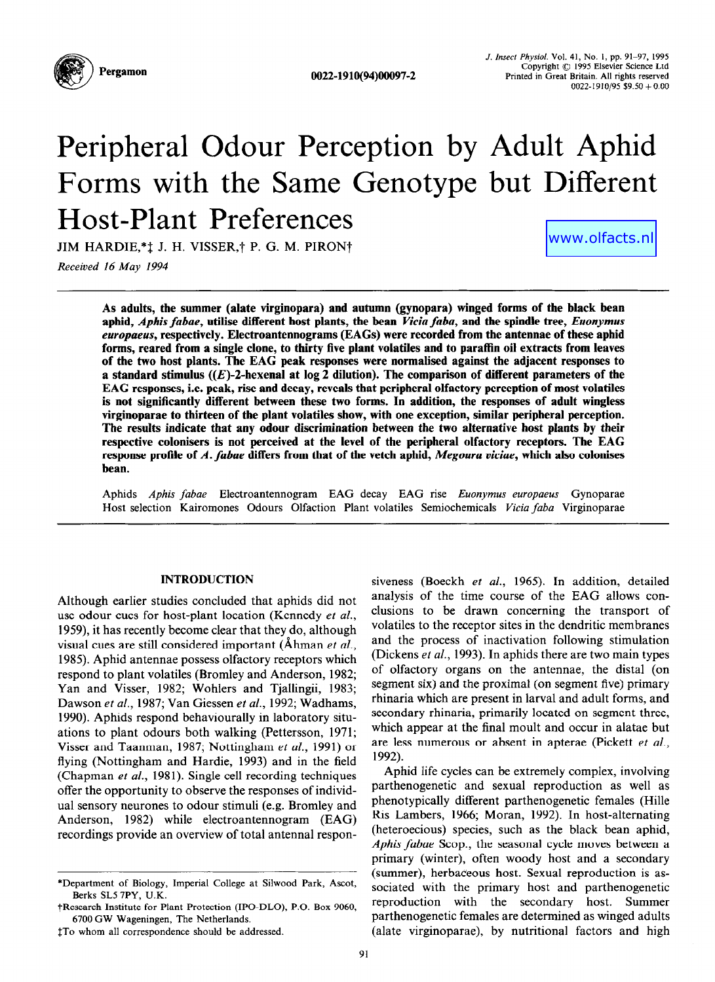

# Peripheral Odour Perception by Adult Aphid Forms with the Same Genotype but Different Host-Plant Preferences

JIM HARDIE,\*<sup>\*</sup> J. H. VISSER,<sup>†</sup> P. G. M. PIRON<sup>†</sup>

*Received 16 May 1994* 

**As adults, the summer (alate virginopara) and autumn (gynopara) winged forms of the black bean aphid,** *Aphisfabae,* **utilise different host plants, the bean** *Viciufuba,* **and the spindle tree, Euonymus**  *ewopaeus,* **respectively. Electroantennograms (EAGs) were recorded from the antennae of these aphid forms, reared from a single clone, to thirty five plant volatiles and to paraffin oil extracts from leaves**  of the two host plants. The EAG peak responses were normalised against the adjacent responses to **a standard stimulus ((E)-2-hexenal at log 2 dilution). The comparison of different parameters of the EAG responses, i.e. peak, rise and decay, reveals that peripheral olfactory perception of most volatiles is not significantly different between these two forms. In addition, the responses of adult wingless virginoparae to thirteen of the plant volatiles show, with one exception, similar peripheral perception. The results indicate that any odour discrimination between the two alternative host plants by their respective colonisers is not perceived at the level of the peripheral olfactory receptors. The EAG response profile of** *A. fabue* **differs from that of the vetch aphid,** *Megoura viciue,* **which also colonises bean.** 

Aphids *Aphis fabae* Electroantennogram EAG decay EAG rise *Euonymus europaeus* Gynoparae Host selection Kairomones Odours Olfaction Plant volatiles Semiochemicals *Vicia faba* Virginoparae

### **INTRODUCTION**

**Although earlier studies concluded that aphids did** not use **odour cues for host-plant location (Kennedy** *et al.,*  1959), it has recently become clear that they do, although visual cues are still considered important (Ahman *et al.*, 1985). Aphid antennae possess olfactory receptors which respond to plant volatiles (Bromley and Anderson, 1982; Yan and Visser, 1982; Wohlers and Tjallingii, 1983; Dawson *et al.,* 1987; Van Giessen *et al.,* 1992; Wadhams, 1990). Aphids respond behaviourally in laboratory situations to plant odours both walking (Pettersson, 1971; Visser and Taanman, 1987; Nottingham *et al.,* 1991) or flying (Nottingham and Hardie, 1993) and in the field (Chapman *et al.,* 1981). Single cell recording techniques offer the opportunity to observe the responses of individual sensory neurones to odour stimuli (e.g. Bromley and Anderson, 1982) while electroantennogram (EAG) recordings provide an overview of total antennal respon-

siveness (Boeckh *et al.,* 1965). In addition, detailed analysis of the time course of the EAG allows conclusions to be drawn concerning the transport of volatiles to the receptor sites in the dendritic membranes and the process of inactivation following stimulation (Dickens *et al.,* 1993). In aphids there are two main types of olfactory organs on the antennae, the distal (on segment six) and the proximal (on segment five) primary rhinaria which are present in larval and adult forms, and secondary rhinaria, primarily located on segment three, which appear at the final moult and occur in alatae but are less numerous or absent in apterae (Pickett *et al.,*  **1992). EXERENT (EXERENT INTERT 1920)**<br> **EXERENT (EXERENT (ADS)** were recorded from the smallent enectroperation of the black beam<br>
and volatiles and to parafilin oil extracts from leaves apind<br>
and volatiles and to parafilin oi

Aphid life cycles can be extremely complex, involving parthenogenetic and sexual reproduction as well as phenotypically different parthenogenetic females (Hille Ris Lambers, 1966; Moran, 1992). In host-alternating (heteroecious) species, such as the black bean aphid, *Aphis fabae* Scop., the seasonal cycle moves between a primary (winter), often woody host and a secondary (summer), herbaceous host. Sexual reproduction is associated with the primary host and parthenogenetic reproduction with the secondary host. Summer parthenogenetic females are determined as winged adults (alate virginoparae), by nutritional factors and high

<sup>\*</sup>Department of Biology, Imperial College at Silwood Park, Ascot, Berks SL5 7PY, U.K.

TResearch Institute for Plant Protection (IPO-DLO), P.O. Box 9060, 6700 GW Wageningen, The Netherlands.

<sup>\$</sup>To whom all correspondence should be addressed.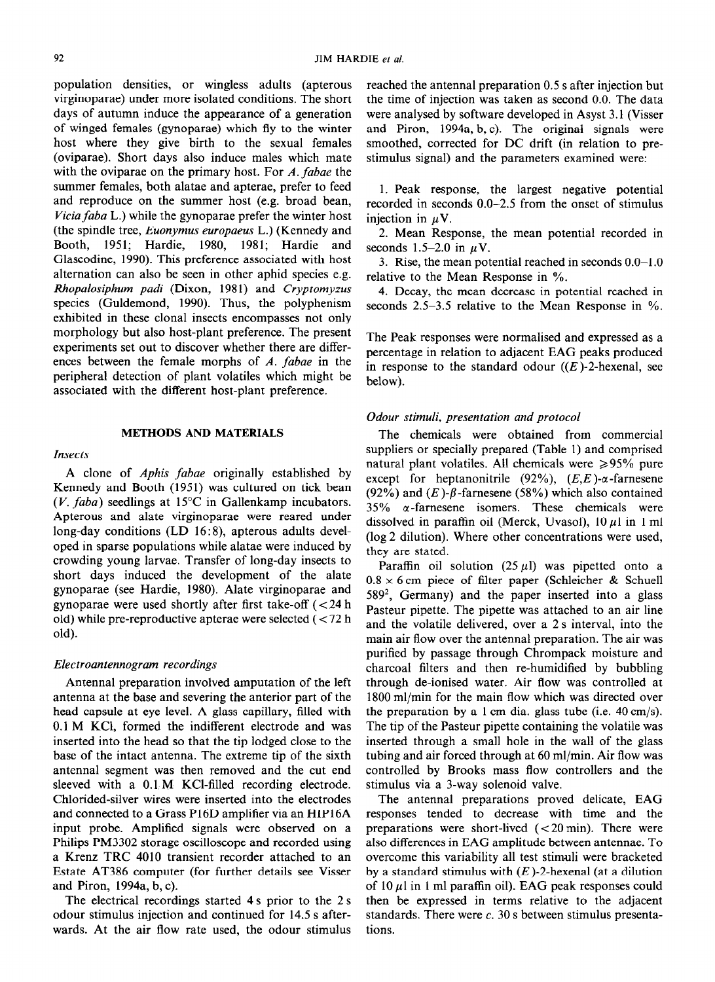population densities, or wingless adults (apterous virginoparae) under more isolated conditions. The short days of autumn induce the appearance of a generation of winged females (gynoparae) which fly to the winter host where they give birth to the sexual females (oviparae). Short days also induce males which mate with the oviparae on the primary host. For  $\Lambda$ , fabae the summer females, both alatae and apterae, prefer to feed and reproduce on the summer host (e.g. broad bean, Vicia faba L.) while the gynoparae prefer the winter host (the spindle tree, *Euonymus europaeus* L.) (Kennedy and Booth, 1951; Hardie, 1980, 1981; Hardie and Glascodine, 1990). This preference associated with host alternation can also be seen in other aphid species e.g. *Rhopalosiphum padi (Dixon, 1981) and Cryptomyzus* species (Guldemond, 1990). Thus, the polyphenism exhibited in these clonal insects encompasses not only morphology but also host-plant preference. The present experiments set out to discover whether there are differences between the female morphs of  $A$ . fabae in the peripheral detection of plant volatiles which might be associated with the different host-plant preference.

#### **METHODS AND MATERIALS**

#### *Znsec ts*

A clone of *Aphis fabae* originally established by Kennedy and Booth (1951) was cultured on tick bean (V.  $faba$ ) seedlings at 15°C in Gallenkamp incubators. Apterous and alate virginoparae were reared under long-day conditions (LD 16:8), apterous adults developed in sparse populations while alatae were induced by crowding young larvae. Transfer of long-day insects to short days induced the development of the alate gynoparae (see Hardie, 1980). Alate virginoparae and gynoparae were used shortly after first take-off  $\zeta$  ( $\zeta$ 24 h old) while pre-reproductive apterae were selected (< 72 h old).

#### *Eiectroantennogram recordings*

Antenna1 preparation involved amputation of the left antenna at the base and severing the anterior part of the head capsule at eye level. A glass capillary, filled with 0.1 M KCl, formed the indifferent electrode and was inserted into the head so that the tip lodged close to the base of the intact antenna. The extreme tip of the sixth antenna1 segment was then removed and the cut end sleeved with a 0.1 M KCl-filled recording electrode. Chlorided-silver wires were inserted into the electrodes and connected to a Grass P16D amplifier via an HIP16A input probe. Amplified signals were observed on a Philips PM3302 storage oscilloscope and recorded using a Krenz TRC 4010 transient recorder attached to an Estate AT386 computer (for further details see Visser and Piron, 1994a, b, c).

The electrical recordings started 4 s prior to the 2 s odour stimulus injection and continued for 14.5 s afterwards. At the air flow rate used, the odour stimulus reached the antenna1 preparation 0.5 s after injection but the time of injection was taken as second 0.0. The data were analysed by software developed in Asyst 3.1 (Visser and Piron,  $1994a, b, c$ . The original signals were smoothed, corrected for DC drift (in relation to prestimulus signal) and the parameters examined were:

1. Peak response, the largest negative potential recorded in seconds 0.0-2.5 from the onset of stimulus injection in  $\mu$ V.

2. Mean Response, the mean potential recorded in seconds 1.5–2.0 in  $\mu$ V.

3. Rise, the mean potential reached in seconds 0.0-l .O relative to the Mean Response in %.

4. Decay, the mean decrease in potential reached in seconds 2.5-3.5 relative to the Mean Response in %.

The Peak responses were normalised and expressed as a percentage in relation to adjacent EAG peaks produced in response to the standard odour  $((E)$ -2-hexenal, see below).

### *Odour stimuli, presentation and protocol*

The chemicals were obtained from commercial suppliers or specially prepared (Table 1) and comprised natural plant volatiles. All chemicals were  $\geq 95\%$  pure except for heptanonitrile  $(92\%)$ ,  $(E,E)$ - $\alpha$ -farnesene (92%) and  $(E)$ - $\beta$ -farnesene (58%) which also contained  $35\%$   $\alpha$ -farnesene isomers. These chemicals were dissolved in paraffin oil (Merck, Uvasol),  $10 \mu l$  in 1 ml (log 2 dilution). Where other concentrations were used, they are stated.

Paraffin oil solution  $(25 \mu l)$  was pipetted onto a  $0.8 \times 6$  cm piece of filter paper (Schleicher & Schuell 589', Germany) and the paper inserted into a glass Pasteur pipette. The pipette was attached to an air line and the volatile delivered, over a 2 s interval, into the main air flow over the antenna1 preparation. The air was purified by passage through Chrompack moisture and charcoal filters and then re-humidified by bubbling through de-ionised water. Air flow was controlled at 1800 ml/min for the main flow which was directed over the preparation by a 1 cm dia. glass tube (i.e. 40 cm/s). The tip of the Pasteur pipette containing the volatile was inserted through a small hole in the wall of the glass tubing and air forced through at 60 ml/min. Air flow was controlled by Brooks mass flow controllers and the stimulus via a 3-way solenoid valve.

The antenna1 preparations proved delicate, EAG responses tended to decrease with time and the preparations were short-lived  $\approx$  20 min). There were also differences in EAG amplitude between antennae. To overcome this variability all test stimuli were bracketed by a standard stimulus with  $(E)$ -2-hexenal (at a dilution of 10  $\mu$ l in 1 ml paraffin oil). EAG peak responses could then be expressed in terms relative to the adjacent standards. There were  $c$ . 30 s between stimulus presentations.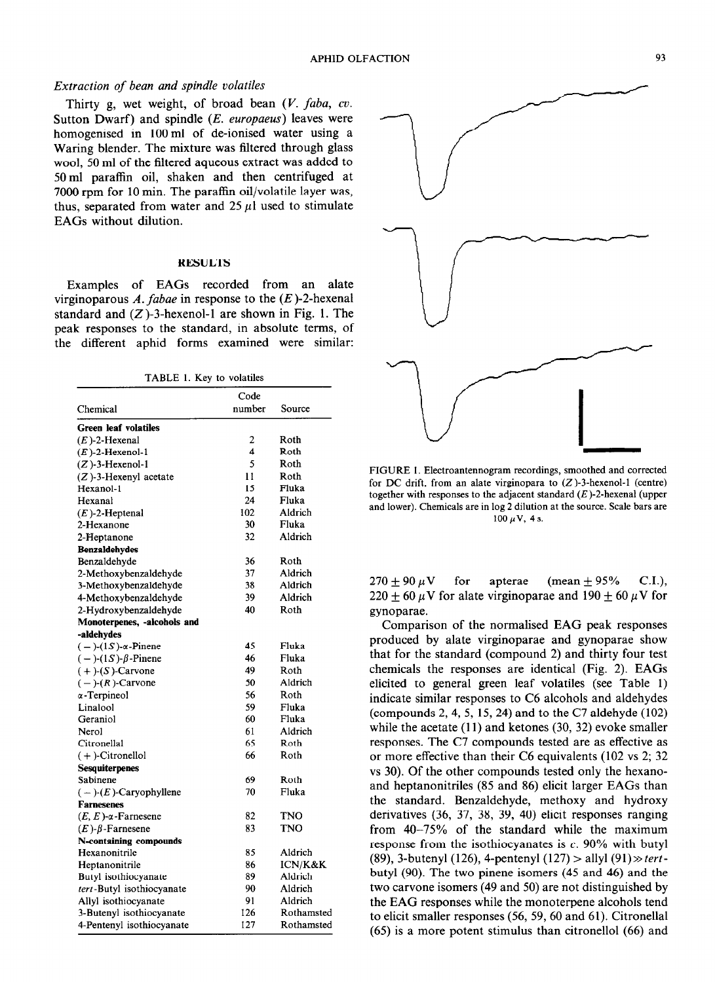## *Extraction of bean and spindle volatiles*

Thirty g, wet weight, of broad bean (V. faba, cv. Sutton Dwarf) and spindle *(E. europaeus)* leaves were homogenised in 100 ml of de-ionised water using a Waring blender. The mixture was filtered through glass wool, 50 ml of the filtered aqueous extract was added to 50ml paraffin oil, shaken and then centrifuged at 7000 rpm for 10 min. The paraffin oil/volatile layer was, thus, separated from water and  $25 \mu l$  used to stimulate EAGs without dilution.

#### RESULTS

Examples of EAGs recorded from an alate virginoparous A. *fabae* in response to the *(E* )-2-hexenal standard and  $(Z)$ -3-hexenol-1 are shown in Fig. 1. The peak responses to the standard, in absolute terms, of the different aphid forms examined were similar:

TABLE 1. Key to volatiles

|                                   | Code   |            |
|-----------------------------------|--------|------------|
| Chemical                          | number | Source     |
| Green leaf volatiles              |        |            |
|                                   | 2      | Roth       |
| $(E)$ -2-Hexenal                  | 4      | Roth       |
| $(E)$ -2-Hexenol-1                | 5      | Roth       |
| $(Z)$ -3-Hexenol-1                | 11     | Roth       |
| $(Z)$ -3-Hexenyl acetate          | 15     | Fluka      |
| Hexanol-1                         | 24     | Fluka      |
| Hexanal                           |        |            |
| $(E)$ -2-Heptenal                 | 102    | Aldrich    |
| 2-Hexanone                        | 30     | Fluka      |
| 2-Heptanone                       | 32     | Aldrich    |
| <b>Benzaldehydes</b>              |        |            |
| Benzaldehyde                      | 36     | Roth       |
| 2-Methoxybenzaldehyde             | 37     | Aldrich    |
| 3-Methoxybenzaldehyde             | 38     | Aldrich    |
| 4-Methoxybenzaldehyde             | 39     | Aldrich    |
| 2-Hydroxybenzaldehyde             | 40     | Roth       |
| Monoterpenes, -alcohols and       |        |            |
| -aldehydes                        |        |            |
| $(-)$ - $(1S)$ - $\alpha$ -Pinene | 45     | Fluka      |
| $(-)$ - $(1S)$ - $\beta$ -Pinene  | 46     | Fluka      |
| $(+)$ - $(S)$ -Carvone            | 49     | Roth       |
| $(-)$ - $(R)$ -Carvone            | 50     | Aldrich    |
| $\alpha$ -Terpineol               | 56     | Roth       |
| Linalool                          | 59     | Fluka      |
| Geraniol                          | 60     | Fluka      |
| Nerol                             | 61     | Aldrich    |
| Citronellal                       | 65     | Roth       |
| (+)-Citronellol                   | 66     | Roth       |
| <b>Sesquiterpenes</b>             |        |            |
| Sabinene                          | 69     | Roth       |
| $(-)$ - $(E)$ -Caryophyllene      | 70     | Fluka      |
| <b>Farnesenes</b>                 |        |            |
| $(E, E)$ - $\alpha$ -Farnesene    | 82     | <b>TNO</b> |
| $(E)$ - $\beta$ -Farnesene        | 83     | <b>TNO</b> |
| <b>N-containing compounds</b>     |        |            |
| Hexanonitrile                     | 85     | Aldrich    |
| Heptanonitrile                    | 86     | ICN/K&K    |
| Butyl isothiocyanate              | 89     | Aldrich    |
| tert-Butyl isothiocyanate         | 90     | Aldrich    |
| Allyl isothiocyanate              | 91     | Aldrich    |
| 3-Butenyl isothiocyanate          | 126    | Rothamsted |
| 4-Pentenyl isothiocyanate         | 127    | Rothamsted |
|                                   |        |            |



FIGURE 1. Electroantennogram recordings, smoothed and corrected for DC drift, from an alate virginopara to  $(Z)$ -3-hexenol-1 (centre) together with responses to the adjacent standard  $(E)$ -2-hexenal (upper and lower). Chemicals are in log 2 dilution at the source. Scale bars are 100  $\mu$ V, 4 s.

 $270 \pm 90 \,\mu\text{V}$  for apterae (mean  $\pm 95\%$  C.I.),  $220 \pm 60 \,\mu$ V for alate virginoparae and  $190 \pm 60 \,\mu$ V for gynoparae.

Comparison of the normalised EAG peak responses produced by alate virginoparae and gynoparae show that for the standard (compound 2) and thirty four test chemicals the responses are identical (Fig. 2). EAGs elicited to general green leaf volatiles (see Table 1) indicate similar responses to C6 alcohols and aldehydes (compounds 2,4, 5, 15, 24) and to the C7 aldehyde (102) while the acetate (11) and ketones (30, 32) evoke smaller responses. The C7 compounds tested are as effective as or more effective than their C6 equivalents (102 vs 2; 32 vs 30). Of the other compounds tested only the hexanoand heptanonitriles (85 and 86) elicit larger EAGs than the standard. Benzaldehyde, methoxy and hydroxy derivatives (36, 37, 38, 39, 40) elicit responses ranging from 40-75% of the standard while the maximum response from the isothiocyanates is  $c$ . 90% with butyl (89) 3-butenyl(126) 4-pentenyl(127) > ally1 (91) >> *tert*  butyl (90). The two pinene isomers (45 and 46) and the two carvone isomers (49 and 50) are not distinguished by the EAG responses while the monoterpene alcohols tend to elicit smaller responses (56, 59, 60 and 61). Citronella1 (65) is a more potent stimulus than citronellol (66) and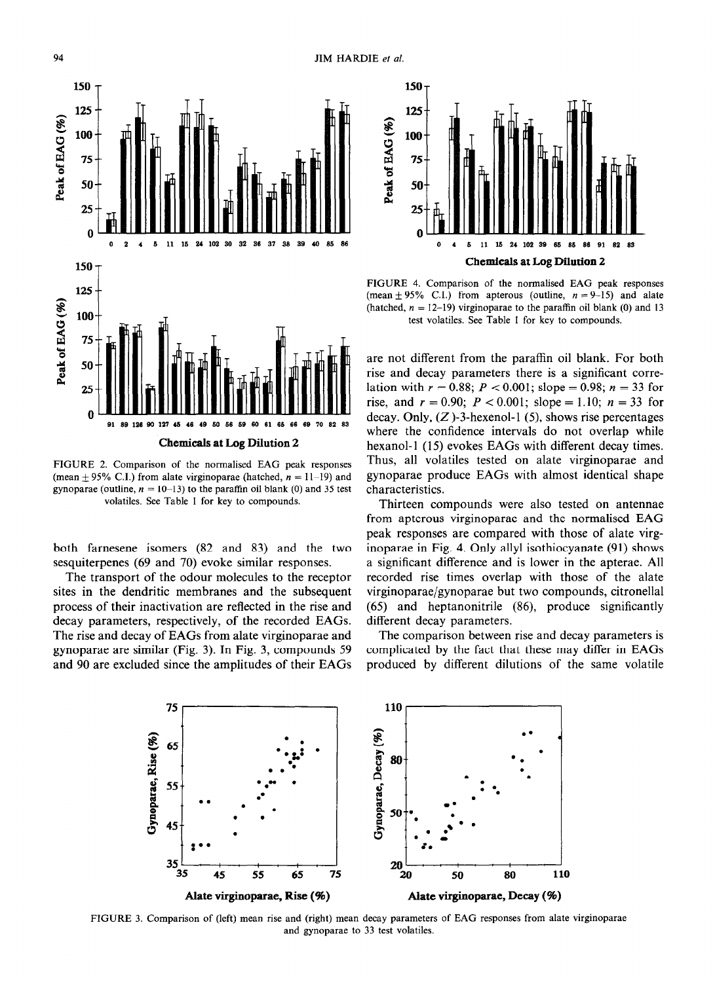![](_page_3_Figure_2.jpeg)

FIGURE 2. Comparison of the normalised EAG peak responses (mean  $\pm$  95% C.I.) from alate virginoparae (hatched,  $n = 11-19$ ) and gynoparae (outline,  $n = 10-13$ ) to the paraffin oil blank (0) and 35 test volatiles. See Table 1 for key to compounds.

both farnesene isomers (82 and 83) and the two sesquiterpenes (69 and 70) evoke similar responses.

The transport of the odour molecules to the receptor sites in the dendritic membranes and the subsequent process of their inactivation are reflected in the rise and decay parameters, respectively, of the recorded EAGs. The rise and decay of EAGs from alate virginoparae and gynoparae are similar (Fig. 3). In Fig. 3, compounds 59 and 90 are excluded since the amplitudes of their EAGs

![](_page_3_Figure_6.jpeg)

FIGURE 4. Comparison of the normalised EAG peak responses (mean  $\pm$  95% C.I.) from apterous (outline,  $n = 9-15$ ) and alate (hatched,  $n = 12-19$ ) virginoparae to the paraffin oil blank (0) and 13 test volatiles. See Table 1 for key to compounds.

are not different from the paraffin oil blank. For both rise and decay parameters there is a significant correlation with  $r = 0.88$ ;  $P < 0.001$ ; slope = 0.98;  $n = 33$  for rise, and  $r = 0.90$ ;  $P < 0.001$ ; slope = 1.10;  $n = 33$  for decay. Only,  $(Z)$ -3-hexenol-1 (5), shows rise percentages where the confidence intervals do not overlap while hexanol-1 (15) evokes EAGs with different decay times. Thus, all volatiles tested on alate virginoparae and gynoparae produce EAGs with almost identical shape characteristics.

Thirteen compounds were also tested on antennae from apterous virginoparae and the normalised EAG peak responses are compared with those of alate virginoparae in Fig. 4. Only ally1 isothiocyanate (91) shows a significant difference and is lower in the apterae. All recorded rise times overlap with those of the alate virginoparae/gynoparae but two compounds, citronella1 (65) and heptanonitrile (86) produce significantly different decay parameters.

The comparison between rise and decay parameters is complicated by the fact that these may differ in EAGs produced by different dilutions of the same volatile

![](_page_3_Figure_11.jpeg)

FIGURE 3. Comparison of (left) mean rise and (right) mean decay parameters of EAG responses from alate virginoparae and gynoparae to 33 test volatiles.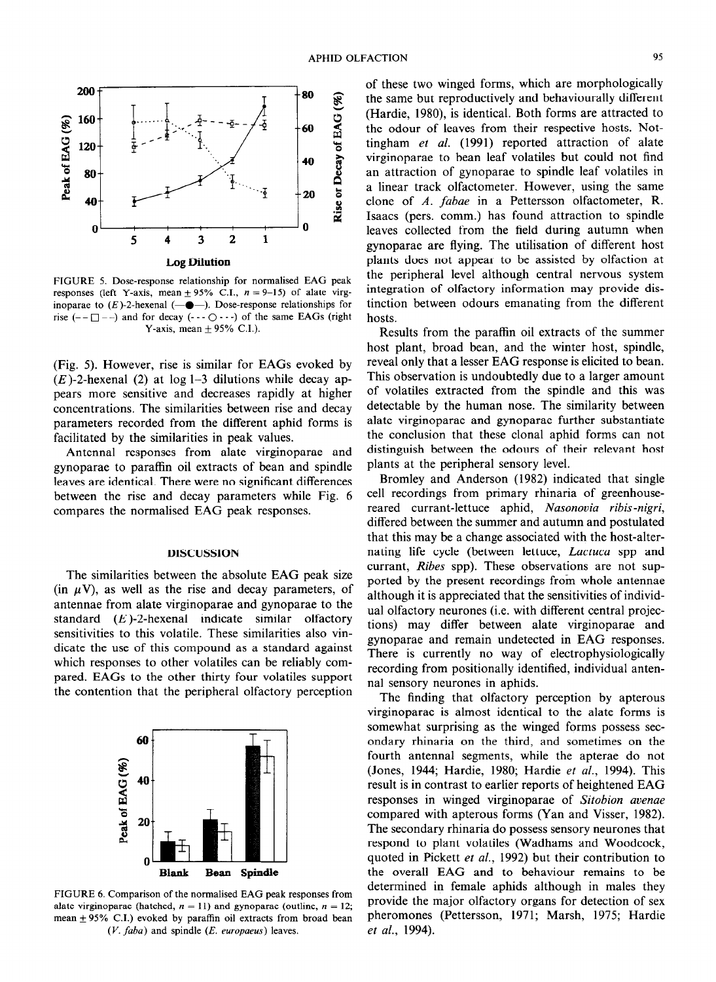![](_page_4_Figure_1.jpeg)

FIGURE 5. Dose-response relationship for normalised EAG peak responses (left Y-axis, mean  $\pm 95\%$  C.I.,  $n = 9-15$ ) of alate virginoparae to  $(E)$ -2-hexenal  $(-\bullet)$ . Dose-response relationships for rise  $(-,- \square --)$  and for decay  $(-,- \square --)$  of the same EAGs (right Y-axis, mean  $\pm$  95% C.I.).

(Fig. 5). However, rise is similar for EAGs evoked by  $(E)$ -2-hexenal (2) at log 1-3 dilutions while decay appears more sensitive and decreases rapidly at higher concentrations. The similarities between rise and decay parameters recorded from the different aphid forms is facilitated by the similarities in peak values.

Antenna1 responses from alate virginoparae and gynoparae to paraffin oil extracts of bean and spindle leaves are identical. There were no significant differences between the rise and decay parameters while Fig. 6 compares the normalised EAG peak responses.

## DISCUSSION

The similarities between the absolute EAG peak size (in  $\mu$ V), as well as the rise and decay parameters, of antennae from alate virginoparae and gynoparae to the standard  $(E)$ -2-hexenal indicate similar olfactory sensitivities to this volatile. These similarities also vindicate the use of this compound as a standard against which responses to other volatiles can be reliably compared. EAGs to the other thirty four volatiles support the contention that the peripheral olfactory perception

![](_page_4_Figure_7.jpeg)

FIGURE 6. Comparison of the normalised EAG peak responses from alate virginoparae (hatched,  $n = 11$ ) and gynoparae (outline,  $n = 12$ ; mean  $\pm$  95% C.I.) evoked by paraffin oil extracts from broad bean  $(V. faba)$  and spindle  $(E. \text{ europeus})$  leaves.

of these two winged forms, which are morphologically the same but reproductively and behaviourally different (Hardie, 1980), is identical. Both forms are attracted to the odour of leaves from their respective hosts. Nottingham *et al.* (1991) reported attraction of alate virginoparae to bean leaf volatiles but could not find an attraction of gynoparae to spindle leaf volatiles in a linear track olfactometer. However, using the same clone of A. fabae in a Pettersson olfactometer, R. Isaacs (pers. comm.) has found attraction to spindle leaves collected from the field during autumn when gynoparae are flying. The utilisation of different host plants does not appear to be assisted by olfaction at the peripheral level although central nervous system integration of olfactory information may provide distinction between odours emanating from the different hosts.

Results from the paraffin oil extracts of the summer host plant, broad bean, and the winter host, spindle, reveal only that a lesser EAG response is elicited to bean. This observation is undoubtedly due to a larger amount of volatiles extracted from the spindle and this was detectable by the human nose. The similarity between alate virginoparae and gynoparae further substantiate the conclusion that these clonal aphid forms can not distinguish between the odours of their relevant host plants at the peripheral sensory level.

Bromley and Anderson (1982) indicated that single cell recordings from primary rhinaria of greenhousereared currant-lettuce aphid, *Nasonovia ribis-nigri,*  differed between the summer and autumn and postulated that this may be a change associated with the host-alternating life cycle (between lettuce, *Lactuca* spp and currant, *Ribes* spp). These observations are not supported by the present recordings from whole antennae although it is appreciated that the sensitivities of individual olfactory neurones (i.e. with different central projections) may differ between alate virginoparae and gynoparae and remain undetected in EAG responses. There is currently no way of electrophysiologically recording from positionally identified, individual antennal sensory neurones in aphids.

The finding that olfactory perception by apterous virginoparae is almost identical to the alate forms is somewhat surprising as the winged forms possess secondary rhinaria on the third, and sometimes on the fourth antenna1 segments, while the apterae do not (Jones, 1944; Hardie, 1980; Hardie *et al.,* 1994). This result is in contrast to earlier reports of heightened EAG responses in winged virginoparae of *Sitobion avenae*  compared with apterous forms (Yan and Visser, 1982). The secondary rhinaria do possess sensory neurones that respond to plant volatiles (Wadhams and Woodcock, quoted in Pickett *et al.,* 1992) but their contribution to the overall EAG and to behaviour remains to be determined in female aphids although in males they provide the major olfactory organs for detection of sex pheromones (Pettersson, 1971; Marsh, 1975; Hardie *et al.,* 1994).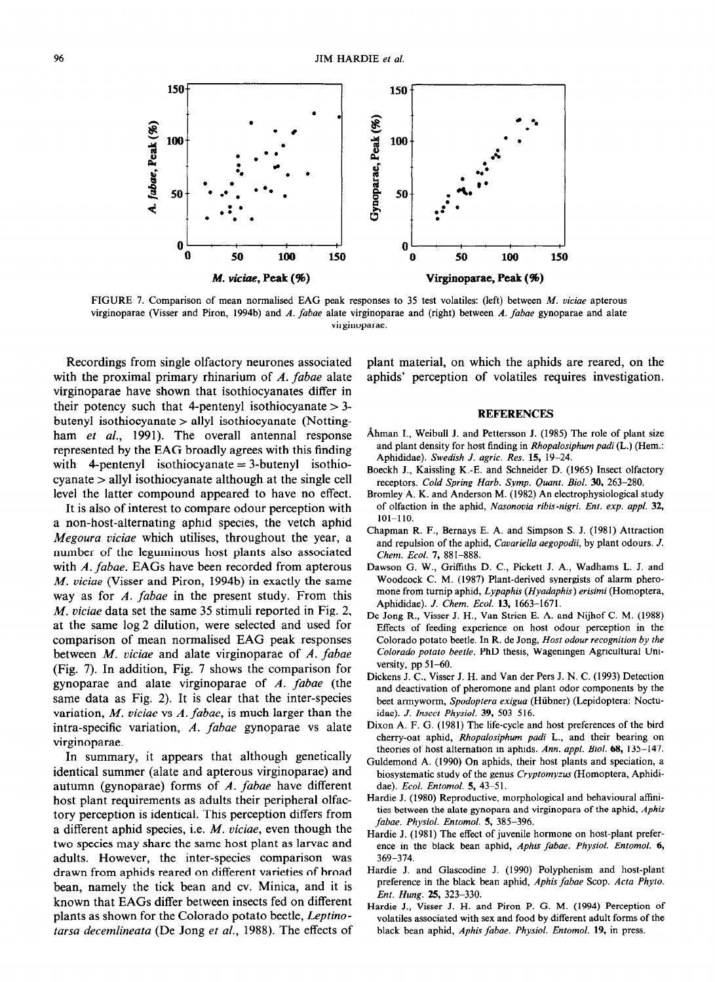![](_page_5_Figure_1.jpeg)

FIGURE 7. Comparison of mean normalised EAG peak responses to 35 test volatiles: (left) between M. *viciae* apterous virginoparae (Visser and Piron, 1994b) and A. *fubae* alate virginoparae and (right) between *A. fabae* gynoparae and alate virginoparae.

Recordings from single olfactory neurones associated with the proximal primary rhinarium of A. *fubae* alate virginoparae have shown that isothiocyanates differ in their potency such that 4-pentenyl isothiocyanate  $> 3$ butenyl isothiocyanate > ally1 isothiocyanate (Nottingham *et al.*, 1991). The overall antennal response represented by the EAG broadly agrees with this finding with 4-pentenyl isothiocyanate  $= 3$ -butenyl isothiocyanate > ally1 isothiocyanate although at the single cell level the latter compound appeared to have no effect.

It is also of interest to compare odour perception with a non-host-alternating aphid species, the vetch aphid *Megoura viciae* which utilises, throughout the year, a number of the leguminous host plants also associated with *A. fabae.* EAGs have been recorded from apterous M. *viciue* (Visser and Piron, 1994b) in exactly the same way as for *A. fubae* in the present study. From this M. *viciue* data set the same 35 stimuli reported in Fig. 2, at the same log 2 dilution, were selected and used for comparison of mean normalised EAG peak responses between M. *viciae* and alate virginoparae of *A. fabae*  (Fig. 7). In addition, Fig. 7 shows the comparison for gynoparae and alate virginoparae of *A. fubae* (the same data as Fig. 2). It is clear that the inter-species variation, M. *viciae vs A. fubae,* is much larger than the intra-specific variation, *A. fubae* gynoparae vs alate virginoparae.

In summary, it appears that although genetically identical summer (alate and apterous virginoparae) and autumn (gynoparae) forms of *A. fubae* have different host plant requirements as adults their peripheral olfactory perception is identical. This perception differs from a different aphid species, i.e. M. *viciae,* even though the two species may share the same host plant as larvae and adults. However, the inter-species comparison was drawn from aphids reared on different varieties of broad bean, namely the tick bean and cv. Minica, and it is known that EAGs differ between insects fed on different plants as shown for the Colorado potato beetle, *Leptinotarsa decemlineata* (De Jong *et al.,* 1988). The effects of plant material, on which the aphids are reared, on the aphids' perception of volatiles requires investigation.

#### REFERENCES

- Ahman I., Weibull J. and Pettersson J. (1985) The role of plant size and plant density for host finding in *Rhopalosiphum pudi* (L.) (Hem.: Aphididae). *Swedish J. agric. Rex* **15,** *19-24.*
- Boeckh J., Kaissling K.-E. and Schneider D. (1965) Insect olfactory receptors. *Cold Spring Harb. Symp. Quunt. Biol. 30, 263-280.*
- Bromley A. K. and Anderson M. (1982) An electrophysiological study of olfaction in the aphid, *Nusonoviu ribis-nigri. Em. exp. uppl. 32,*  101-110.
- Chapman R. F., Bernays E. A. and Simpson S. J. (1981) Attraction and repulsion of the aphid, *Cuvariella aegopodii,* by plant odours. *J. Chem. Ecol. 7, 881-888.*
- Dawson G. W., Griffiths D. C., Pickett J. A., Wadhams L. J. and Woodcock C. M. (1987) Plant-derived synergists of alarm pheromone from turnip aphid, *Lypaphis (Hyuduphis) erisimi* (Homoptera, Aphididae). *J.* **Chem.** *Ecol.* **13, 1663-1671.**
- De Jong R., Visser J. H., Van Strien E. A. and Nijhof C. M. (1988) Effects of feeding experience on host odour perception in the Colorado potato beetle. In R. de Jong, *Host odour recognition by the Colorado potato beetle.* PhD thesis, Wageningen Agricultural University, pp 51-60.
- Dickens J. C., Visser J. H. and Van der Pers J. N. C. (1993) Detection and deactivation of pheromone and plant odor components by the beet armyworm, *Spodoptera exiguu* (Hiibner) (Lepidoptera: Noctuidae). *J. Insect Physiol. 39, 503-5* **16.**
- Dixon A. F. G. (1981) The life-cycle and host preferences of the bird cherry-oat aphid, *Rhopalosiphum padi* L., and their bearing on theories of host alternation in aphids. *Ann. appl. Biol. 68,* 135-147.
- Guldemond A. (1990) On aphids, their host plants and speciation, a biosystematic study of the genus *Cryptomyzus* (Homoptera, Aphididae). *Ecol. Entomol*. **5,** 43-51.
- Hardie J. (1980) Reproductive, morphological and behavioural affinities between the alate gynopara and virginopara of the aphid, *Aphis fubue. Physiol. Entomol. 5, 385-396.*
- Hardie J. (1981) The effect of juvenile hormone on host-plant preference in the black bean aphid, *Aphis fabae. Physiol. Entomol.* 6, *369-374.*
- Hardie J. and Glascodine J. (1990) Polyphenism and host-plant preference in the black bean aphid, *Aphis fabae* Scop. *Acta Phyto. Em. Hung. 25, 323-330.*
- Hardie J., Visser J. H. and Piron P. G. M. (1994) Perception of volatiles associated with sex and food by different adult forms of the black bean aphid, *Aphis fabue. Physiol. Entomol. 19,* in press.